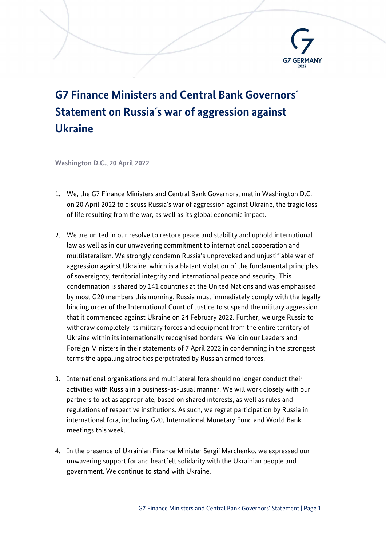

## G7 Finance Ministers and Central Bank Governors´ Statement on Russia´s war of aggression against Ukraine

Washington D.C., 20 April 2022

- 1. We, the G7 Finance Ministers and Central Bank Governors, met in Washington D.C. on 20 April 2022 to discuss Russia´s war of aggression against Ukraine, the tragic loss of life resulting from the war, as well as its global economic impact.
- 2. We are united in our resolve to restore peace and stability and uphold international law as well as in our unwavering commitment to international cooperation and multilateralism. We strongly condemn Russia's unprovoked and unjustifiable war of aggression against Ukraine, which is a blatant violation of the fundamental principles of sovereignty, territorial integrity and international peace and security. This condemnation is shared by 141 countries at the United Nations and was emphasised by most G20 members this morning. Russia must immediately comply with the legally binding order of the International Court of Justice to suspend the military aggression that it commenced against Ukraine on 24 February 2022. Further, we urge Russia to withdraw completely its military forces and equipment from the entire territory of Ukraine within its internationally recognised borders. We join our Leaders and Foreign Ministers in their statements of 7 April 2022 in condemning in the strongest terms the appalling atrocities perpetrated by Russian armed forces.
- 3. International organisations and multilateral fora should no longer conduct their activities with Russia in a business-as-usual manner. We will work closely with our partners to act as appropriate, based on shared interests, as well as rules and regulations of respective institutions. As such, we regret participation by Russia in international fora, including G20, International Monetary Fund and World Bank meetings this week.
- 4. In the presence of Ukrainian Finance Minister Sergii Marchenko, we expressed our unwavering support for and heartfelt solidarity with the Ukrainian people and government. We continue to stand with Ukraine.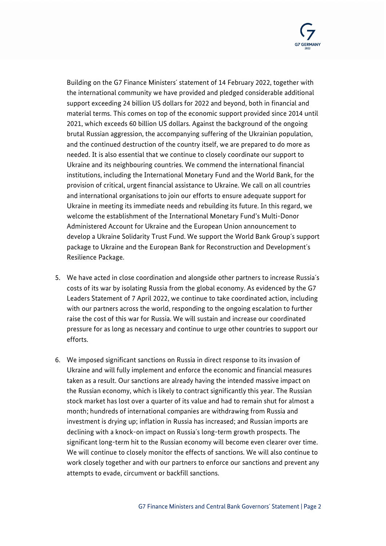

Building on the G7 Finance Ministers´ statement of 14 February 2022, together with the international community we have provided and pledged considerable additional support exceeding 24 billion US dollars for 2022 and beyond, both in financial and material terms. This comes on top of the economic support provided since 2014 until 2021, which exceeds 60 billion US dollars. Against the background of the ongoing brutal Russian aggression, the accompanying suffering of the Ukrainian population, and the continued destruction of the country itself, we are prepared to do more as needed. It is also essential that we continue to closely coordinate our support to Ukraine and its neighbouring countries. We commend the international financial institutions, including the International Monetary Fund and the World Bank, for the provision of critical, urgent financial assistance to Ukraine. We call on all countries and international organisations to join our efforts to ensure adequate support for Ukraine in meeting its immediate needs and rebuilding its future. In this regard, we welcome the establishment of the International Monetary Fund's Multi-Donor Administered Account for Ukraine and the European Union announcement to develop a Ukraine Solidarity Trust Fund. We support the World Bank Group´s support package to Ukraine and the European Bank for Reconstruction and Development´s Resilience Package.

- 5. We have acted in close coordination and alongside other partners to increase Russia´s costs of its war by isolating Russia from the global economy. As evidenced by the G7 Leaders Statement of 7 April 2022, we continue to take coordinated action, including with our partners across the world, responding to the ongoing escalation to further raise the cost of this war for Russia. We will sustain and increase our coordinated pressure for as long as necessary and continue to urge other countries to support our efforts.
- 6. We imposed significant sanctions on Russia in direct response to its invasion of Ukraine and will fully implement and enforce the economic and financial measures taken as a result. Our sanctions are already having the intended massive impact on the Russian economy, which is likely to contract significantly this year. The Russian stock market has lost over a quarter of its value and had to remain shut for almost a month; hundreds of international companies are withdrawing from Russia and investment is drying up; inflation in Russia has increased; and Russian imports are declining with a knock-on impact on Russia´s long-term growth prospects. The significant long-term hit to the Russian economy will become even clearer over time. We will continue to closely monitor the effects of sanctions. We will also continue to work closely together and with our partners to enforce our sanctions and prevent any attempts to evade, circumvent or backfill sanctions.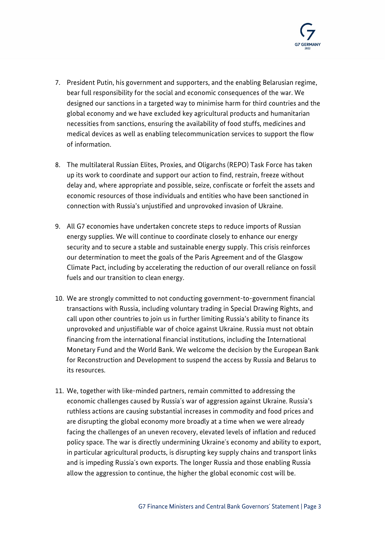

- 7. President Putin, his government and supporters, and the enabling Belarusian regime, bear full responsibility for the social and economic consequences of the war. We designed our sanctions in a targeted way to minimise harm for third countries and the global economy and we have excluded key agricultural products and humanitarian necessities from sanctions, ensuring the availability of food stuffs, medicines and medical devices as well as enabling telecommunication services to support the flow of information.
- 8. The multilateral Russian Elites, Proxies, and Oligarchs (REPO) Task Force has taken up its work to coordinate and support our action to find, restrain, freeze without delay and, where appropriate and possible, seize, confiscate or forfeit the assets and economic resources of those individuals and entities who have been sanctioned in connection with Russia's unjustified and unprovoked invasion of Ukraine.
- 9. All G7 economies have undertaken concrete steps to reduce imports of Russian energy supplies. We will continue to coordinate closely to enhance our energy security and to secure a stable and sustainable energy supply. This crisis reinforces our determination to meet the goals of the Paris Agreement and of the Glasgow Climate Pact, including by accelerating the reduction of our overall reliance on fossil fuels and our transition to clean energy.
- 10. We are strongly committed to not conducting government-to-government financial transactions with Russia, including voluntary trading in Special Drawing Rights, and call upon other countries to join us in further limiting Russia's ability to finance its unprovoked and unjustifiable war of choice against Ukraine. Russia must not obtain financing from the international financial institutions, including the International Monetary Fund and the World Bank. We welcome the decision by the European Bank for Reconstruction and Development to suspend the access by Russia and Belarus to its resources.
- 11. We, together with like-minded partners, remain committed to addressing the economic challenges caused by Russia´s war of aggression against Ukraine. Russia's ruthless actions are causing substantial increases in commodity and food prices and are disrupting the global economy more broadly at a time when we were already facing the challenges of an uneven recovery, elevated levels of inflation and reduced policy space. The war is directly undermining Ukraine´s economy and ability to export, in particular agricultural products, is disrupting key supply chains and transport links and is impeding Russia´s own exports. The longer Russia and those enabling Russia allow the aggression to continue, the higher the global economic cost will be.